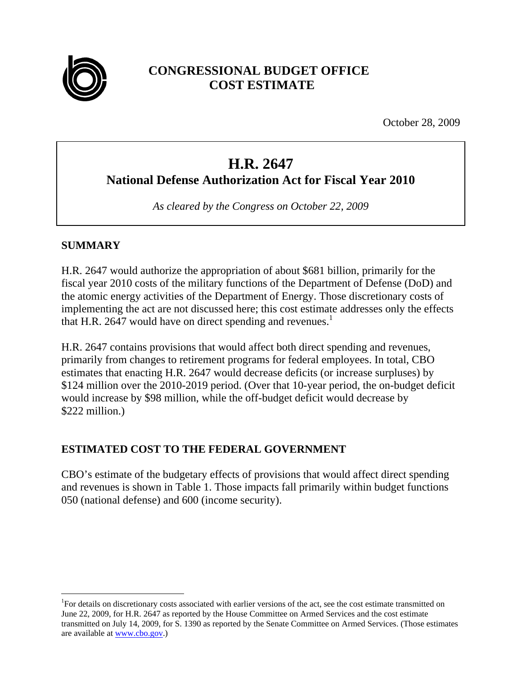

# **CONGRESSIONAL BUDGET OFFICE COST ESTIMATE**

October 28, 2009

# **H.R. 2647 National Defense Authorization Act for Fiscal Year 2010**

*As cleared by the Congress on October 22, 2009* 

# **SUMMARY**

 $\overline{a}$ 

H.R. 2647 would authorize the appropriation of about \$681 billion, primarily for the fiscal year 2010 costs of the military functions of the Department of Defense (DoD) and the atomic energy activities of the Department of Energy. Those discretionary costs of implementing the act are not discussed here; this cost estimate addresses only the effects that H.R. 2647 would have on direct spending and revenues.<sup>1</sup>

H.R. 2647 contains provisions that would affect both direct spending and revenues, primarily from changes to retirement programs for federal employees. In total, CBO estimates that enacting H.R. 2647 would decrease deficits (or increase surpluses) by \$124 million over the 2010-2019 period. (Over that 10-year period, the on-budget deficit would increase by \$98 million, while the off-budget deficit would decrease by \$222 million.)

# **ESTIMATED COST TO THE FEDERAL GOVERNMENT**

CBO's estimate of the budgetary effects of provisions that would affect direct spending and revenues is shown in Table 1. Those impacts fall primarily within budget functions 050 (national defense) and 600 (income security).

<sup>&</sup>lt;sup>1</sup>For details on discretionary costs associated with earlier versions of the act, see the cost estimate transmitted on June 22, 2009, for H.R. 2647 as reported by the House Committee on Armed Services and the cost estimate transmitted on July 14, 2009, for S. 1390 as reported by the Senate Committee on Armed Services. (Those estimates are available at www.cbo.gov.)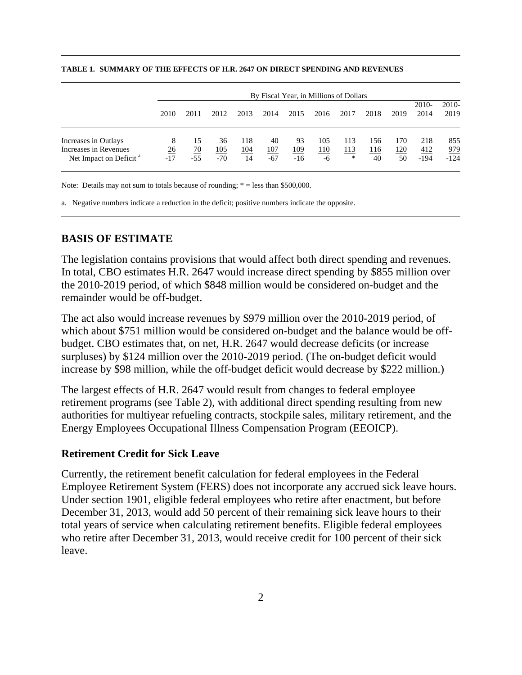|                                                                                     | By Fiscal Year, in Millions of Dollars |                          |                           |                         |                           |                            |                         |                         |                  |                         |                      |                             |
|-------------------------------------------------------------------------------------|----------------------------------------|--------------------------|---------------------------|-------------------------|---------------------------|----------------------------|-------------------------|-------------------------|------------------|-------------------------|----------------------|-----------------------------|
|                                                                                     | 2010                                   | 2011                     | 2012                      | 2013                    | 2014                      | 2015                       | 2016                    | 2017                    | 2018             | 2019                    | 2010-<br>2014        | $2010-$<br>2019             |
| Increases in Outlays<br>Increases in Revenues<br>Net Impact on Deficit <sup>a</sup> | 8<br><u>26</u><br>$-17$                | 15<br><u>70</u><br>$-55$ | 36<br><u>105</u><br>$-70$ | 118<br><u>104</u><br>14 | 40<br><u>107</u><br>$-67$ | 93<br><u> 109</u><br>$-16$ | 105<br><u>110</u><br>-6 | 113<br><u> 113</u><br>* | 156<br>116<br>40 | 170<br><u>120</u><br>50 | 218<br>412<br>$-194$ | 855<br><u>979</u><br>$-124$ |

#### **TABLE 1. SUMMARY OF THE EFFECTS OF H.R. 2647 ON DIRECT SPENDING AND REVENUES**

Note: Details may not sum to totals because of rounding;  $* =$  less than \$500,000.

a. Negative numbers indicate a reduction in the deficit; positive numbers indicate the opposite.

#### **BASIS OF ESTIMATE**

The legislation contains provisions that would affect both direct spending and revenues. In total, CBO estimates H.R. 2647 would increase direct spending by \$855 million over the 2010-2019 period, of which \$848 million would be considered on-budget and the remainder would be off-budget.

The act also would increase revenues by \$979 million over the 2010-2019 period, of which about \$751 million would be considered on-budget and the balance would be offbudget. CBO estimates that, on net, H.R. 2647 would decrease deficits (or increase surpluses) by \$124 million over the 2010-2019 period. (The on-budget deficit would increase by \$98 million, while the off-budget deficit would decrease by \$222 million.)

The largest effects of H.R. 2647 would result from changes to federal employee retirement programs (see Table 2), with additional direct spending resulting from new authorities for multiyear refueling contracts, stockpile sales, military retirement, and the Energy Employees Occupational Illness Compensation Program (EEOICP).

#### **Retirement Credit for Sick Leave**

Currently, the retirement benefit calculation for federal employees in the Federal Employee Retirement System (FERS) does not incorporate any accrued sick leave hours. Under section 1901, eligible federal employees who retire after enactment, but before December 31, 2013, would add 50 percent of their remaining sick leave hours to their total years of service when calculating retirement benefits. Eligible federal employees who retire after December 31, 2013, would receive credit for 100 percent of their sick leave.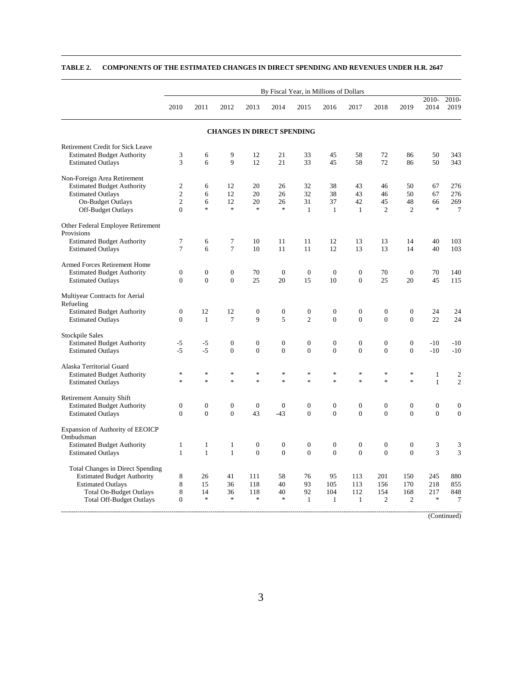|                                                 | By Fiscal Year, in Millions of Dollars |                          |                                   |                  |                                   |                                   |                  |                  |                          |                  |                  |                |
|-------------------------------------------------|----------------------------------------|--------------------------|-----------------------------------|------------------|-----------------------------------|-----------------------------------|------------------|------------------|--------------------------|------------------|------------------|----------------|
|                                                 | 2010                                   | 2011                     | 2012                              | 2013             | 2014                              | 2015                              | 2016             | 2017             | 2018                     | 2019             | 2010-<br>2014    | 2010-<br>2019  |
|                                                 |                                        |                          | <b>CHANGES IN DIRECT SPENDING</b> |                  |                                   |                                   |                  |                  |                          |                  |                  |                |
| Retirement Credit for Sick Leave                |                                        |                          |                                   |                  |                                   |                                   |                  |                  |                          |                  |                  |                |
| <b>Estimated Budget Authority</b>               | 3                                      | 6                        | 9                                 | 12               | 21                                | 33                                | 45               | 58               | 72                       | 86               | 50               | 343            |
| <b>Estimated Outlays</b>                        | 3                                      | 6                        | 9                                 | 12               | 21                                | 33                                | 45               | 58               | 72                       | 86               | 50               | 343            |
| Non-Foreign Area Retirement                     |                                        |                          |                                   |                  |                                   |                                   |                  |                  |                          |                  |                  |                |
| <b>Estimated Budget Authority</b>               | $\mathfrak{2}$                         | 6                        | 12                                | 20               | 26                                | 32                                | 38               | 43               | 46                       | 50               | 67               | 276            |
| <b>Estimated Outlays</b>                        | $\overline{c}$                         | 6                        | 12                                | 20               | 26                                | 32                                | 38               | 43               | 46                       | 50               | 67               | 276            |
| On-Budget Outlays                               | $\overline{c}$                         | 6                        | 12                                | 20               | 26                                | 31                                | 37               | 42               | 45                       | 48               | 66               | 269            |
| Off-Budget Outlays                              | $\overline{0}$                         | $\frac{1}{2}$            | $\ast$                            | $\ast$           | $\frac{1}{2}$                     | $\mathbf{1}$                      | $\mathbf{1}$     | $\mathbf{1}$     | $\overline{c}$           | $\overline{2}$   | $\ast$           | $\tau$         |
| Other Federal Employee Retirement<br>Provisions |                                        |                          |                                   |                  |                                   |                                   |                  |                  |                          |                  |                  |                |
| <b>Estimated Budget Authority</b>               | 7                                      | 6                        | 7                                 | 10               | 11                                | 11                                | 12               | 13               | 13                       | 14               | 40               | 103            |
| <b>Estimated Outlays</b>                        | $\overline{7}$                         | 6                        | $\overline{7}$                    | 10               | 11                                | 11                                | 12               | 13               | 13                       | 14               | 40               | 103            |
| Armed Forces Retirement Home                    |                                        |                          |                                   |                  |                                   |                                   |                  |                  |                          |                  |                  |                |
| <b>Estimated Budget Authority</b>               | $\boldsymbol{0}$                       | $\mathbf{0}$             | $\overline{0}$                    | 70               | $\mathbf{0}$                      | $\mathbf{0}$                      | $\mathbf{0}$     | $\Omega$         | 70                       | $\mathbf{0}$     | 70               | 140            |
| <b>Estimated Outlays</b>                        | $\overline{0}$                         | $\mathbf{0}$             | $\overline{0}$                    | 25               | 20                                | 15                                | 10               | $\overline{0}$   | 25                       | 20               | 45               | 115            |
| Multiyear Contracts for Aerial                  |                                        |                          |                                   |                  |                                   |                                   |                  |                  |                          |                  |                  |                |
| Refueling                                       |                                        |                          |                                   |                  |                                   |                                   |                  |                  |                          |                  |                  |                |
| <b>Estimated Budget Authority</b>               | $\boldsymbol{0}$                       | 12                       | 12                                | $\boldsymbol{0}$ | $\boldsymbol{0}$                  | $\boldsymbol{0}$                  | $\boldsymbol{0}$ | $\boldsymbol{0}$ | $\boldsymbol{0}$         | $\boldsymbol{0}$ | 24               | 24             |
| <b>Estimated Outlays</b>                        | $\Omega$                               | $\mathbf{1}$             | $\tau$                            | 9                | 5                                 | $\mathfrak{2}$                    | $\theta$         | $\Omega$         | $\theta$                 | $\Omega$         | 22               | 24             |
| <b>Stockpile Sales</b>                          |                                        |                          |                                   |                  |                                   |                                   |                  |                  |                          |                  |                  |                |
| <b>Estimated Budget Authority</b>               | $-5$                                   | $-5$                     | $\boldsymbol{0}$                  | $\mathbf{0}$     | $\mathbf{0}$                      | $\overline{0}$                    | $\boldsymbol{0}$ | $\overline{0}$   | $\boldsymbol{0}$         | $\boldsymbol{0}$ | $-10$            | $-10$          |
| <b>Estimated Outlays</b>                        | $-5$                                   | $-5$                     | $\overline{0}$                    | $\overline{0}$   | $\overline{0}$                    | $\overline{0}$                    | $\overline{0}$   | $\overline{0}$   | $\overline{0}$           | $\overline{0}$   | $-10$            | $-10$          |
| Alaska Territorial Guard                        |                                        |                          |                                   |                  |                                   |                                   |                  |                  |                          |                  |                  |                |
| <b>Estimated Budget Authority</b>               | *                                      | $\frac{d\mathbf{r}}{dt}$ | $\ast$                            | $\ast$           | $\frac{d\mathbf{r}}{d\mathbf{r}}$ | $\frac{d\mathbf{r}}{d\mathbf{r}}$ | $\ast$           | $\ast$           | $\frac{d\mathbf{x}}{dt}$ | $\ast$           | $\mathbf{1}$     | $\mathbf{2}$   |
| <b>Estimated Outlays</b>                        | $\frac{d\mathbf{r}}{d\mathbf{r}}$      | $\frac{d\mathbf{r}}{dt}$ | sk.                               | $\ast$           | $\frac{1}{2^k}$                   | $\frac{d\mathbf{r}}{d\mathbf{r}}$ | ×                | $\ast$           | s.                       | $\ast$           | $\mathbf{1}$     | $\overline{c}$ |
| <b>Retirement Annuity Shift</b>                 |                                        |                          |                                   |                  |                                   |                                   |                  |                  |                          |                  |                  |                |
| <b>Estimated Budget Authority</b>               | $\mathbf{0}$                           | $\boldsymbol{0}$         | $\boldsymbol{0}$                  | $\theta$         | $\mathbf{0}$                      | $\mathbf{0}$                      | $\boldsymbol{0}$ | $\boldsymbol{0}$ | $\boldsymbol{0}$         | $\boldsymbol{0}$ | $\boldsymbol{0}$ | $\mathbf{0}$   |
| <b>Estimated Outlays</b>                        | $\mathbf{0}$                           | $\overline{0}$           | $\mathbf{0}$                      | 43               | $-43$                             | $\overline{0}$                    | $\overline{0}$   | $\overline{0}$   | $\overline{0}$           | $\overline{0}$   | $\overline{0}$   | $\mathbf{0}$   |
| <b>Expansion of Authority of EEOICP</b>         |                                        |                          |                                   |                  |                                   |                                   |                  |                  |                          |                  |                  |                |
| Ombudsman                                       |                                        |                          |                                   |                  |                                   |                                   |                  |                  |                          |                  |                  |                |
| <b>Estimated Budget Authority</b>               | $\mathbf{1}$                           | $\mathbf{1}$             | $\mathbf{1}$                      | $\mathbf{0}$     | $\mathbf{0}$                      | $\overline{0}$                    | $\overline{0}$   | $\overline{0}$   | $\mathbf{0}$             | $\mathbf{0}$     | 3                | 3              |
| <b>Estimated Outlays</b>                        | $\mathbf{1}$                           | $\mathbf{1}$             | $\mathbf{1}$                      | $\Omega$         | $\Omega$                          | $\Omega$                          | $\Omega$         | $\Omega$         | $\theta$                 | $\Omega$         | 3                | 3              |
| <b>Total Changes in Direct Spending</b>         |                                        |                          |                                   |                  |                                   |                                   |                  |                  |                          |                  |                  |                |
| <b>Estimated Budget Authority</b>               | 8                                      | 26                       | 41                                | 111              | 58                                | 76                                | 95               | 113              | 201                      | 150              | 245              | 880            |
| <b>Estimated Outlays</b>                        | 8                                      | 15                       | 36                                | 118              | 40                                | 93                                | 105              | 113              | 156                      | 170              | 218              | 855            |
| <b>Total On-Budget Outlays</b>                  | 8                                      | 14                       | 36                                | 118              | 40                                | 92                                | 104              | 112              | 154                      | 168              | 217              | 848            |
| Total Off-Budget Outlays                        | $\boldsymbol{0}$                       | $\frac{d\mathbf{r}}{dt}$ | $\ast$                            | $\ast$           | $\frac{d\mathbf{r}}{d\mathbf{r}}$ | $\mathbf{1}$                      | $\mathbf{1}$     | $\mathbf{1}$     | $\overline{c}$           | $\overline{c}$   | $\ast$           | $\tau$         |
|                                                 |                                        |                          |                                   |                  |                                   |                                   |                  |                  |                          |                  |                  | (Continued)    |

#### **TABLE 2. COMPONENTS OF THE ESTIMATED CHANGES IN DIRECT SPENDING AND REVENUES UNDER H.R. 2647**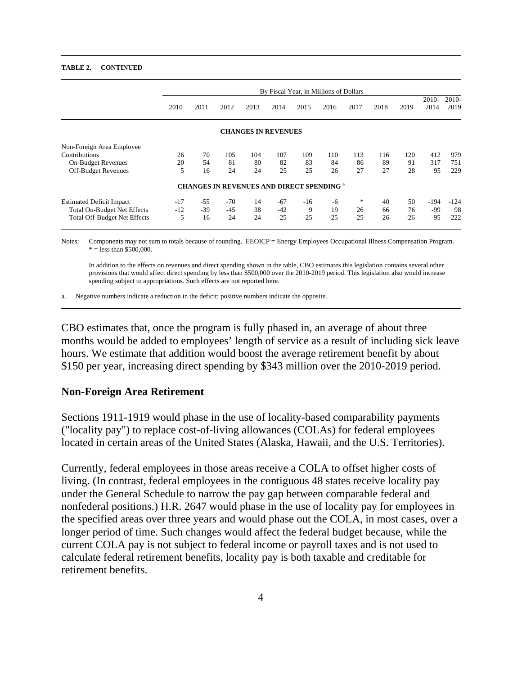#### **TABLE 2. CONTINUED**

|                                     | By Fiscal Year, in Millions of Dollars |       |       |                                                  |       |       |       |       |       |       |                 |                 |
|-------------------------------------|----------------------------------------|-------|-------|--------------------------------------------------|-------|-------|-------|-------|-------|-------|-----------------|-----------------|
|                                     | 2010                                   | 2011  | 2012  | 2013                                             | 2014  | 2015  | 2016  | 2017  | 2018  | 2019  | $2010-$<br>2014 | $2010-$<br>2019 |
|                                     |                                        |       |       | <b>CHANGES IN REVENUES</b>                       |       |       |       |       |       |       |                 |                 |
| Non-Foreign Area Employee           |                                        |       |       |                                                  |       |       |       |       |       |       |                 |                 |
| Contributions                       | 26                                     | 70    | 105   | 104                                              | 107   | 109   | 110   | 113   | 116   | 120   | 412             | 979             |
| <b>On-Budget Revenues</b>           | 20                                     | 54    | 81    | 80                                               | 82    | 83    | 84    | 86    | 89    | 91    | 317             | 751             |
| Off-Budget Revenues                 | 5                                      | 16    | 24    | 24                                               | 25    | 25    | 26    | 27    | 27    | 28    | 95              | 229             |
|                                     |                                        |       |       | <b>CHANGES IN REVENUES AND DIRECT SPENDING a</b> |       |       |       |       |       |       |                 |                 |
| <b>Estimated Deficit Impact</b>     | $-17$                                  | $-55$ | $-70$ | 14                                               | $-67$ | $-16$ | -6    | *     | 40    | 50    | $-194$          | $-124$          |
| <b>Total On-Budget Net Effects</b>  | $-12$                                  | $-39$ | $-45$ | 38                                               | $-42$ | 9     | 19    | 26    | 66    | 76    | -99             | 98              |
| <b>Total Off-Budget Net Effects</b> | $-5$                                   | $-16$ | $-24$ | $-24$                                            | $-25$ | $-25$ | $-25$ | $-25$ | $-26$ | $-26$ | $-95$           | $-222$          |

Notes: Components may not sum to totals because of rounding. EEOICP = Energy Employees Occupational Illness Compensation Program.  $* =$  less than \$500,000.

 In addition to the effects on revenues and direct spending shown in the table, CBO estimates this legislation contains several other provisions that would affect direct spending by less than \$500,000 over the 2010-2019 period. This legislation also would increase spending subject to appropriations. Such effects are not reported here.

a. Negative numbers indicate a reduction in the deficit; positive numbers indicate the opposite.

CBO estimates that, once the program is fully phased in, an average of about three months would be added to employees' length of service as a result of including sick leave hours. We estimate that addition would boost the average retirement benefit by about \$150 per year, increasing direct spending by \$343 million over the 2010-2019 period.

#### **Non-Foreign Area Retirement**

Sections 1911-1919 would phase in the use of locality-based comparability payments ("locality pay") to replace cost-of-living allowances (COLAs) for federal employees located in certain areas of the United States (Alaska, Hawaii, and the U.S. Territories).

Currently, federal employees in those areas receive a COLA to offset higher costs of living. (In contrast, federal employees in the contiguous 48 states receive locality pay under the General Schedule to narrow the pay gap between comparable federal and nonfederal positions.) H.R. 2647 would phase in the use of locality pay for employees in the specified areas over three years and would phase out the COLA, in most cases, over a longer period of time. Such changes would affect the federal budget because, while the current COLA pay is not subject to federal income or payroll taxes and is not used to calculate federal retirement benefits, locality pay is both taxable and creditable for retirement benefits.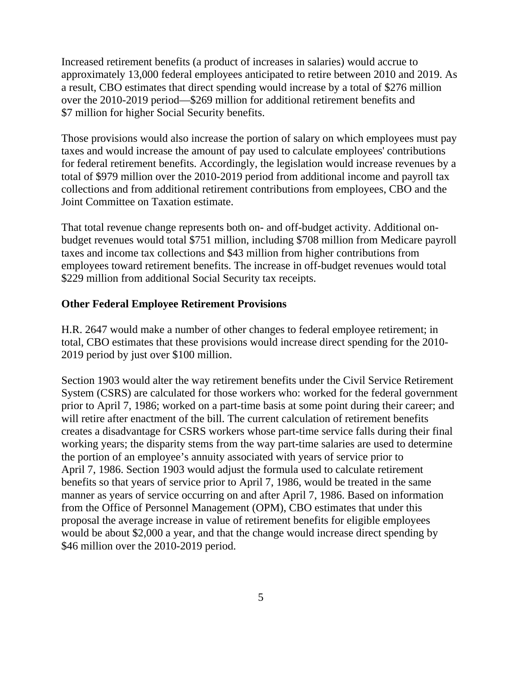Increased retirement benefits (a product of increases in salaries) would accrue to approximately 13,000 federal employees anticipated to retire between 2010 and 2019. As a result, CBO estimates that direct spending would increase by a total of \$276 million over the 2010-2019 period—\$269 million for additional retirement benefits and \$7 million for higher Social Security benefits.

Those provisions would also increase the portion of salary on which employees must pay taxes and would increase the amount of pay used to calculate employees' contributions for federal retirement benefits. Accordingly, the legislation would increase revenues by a total of \$979 million over the 2010-2019 period from additional income and payroll tax collections and from additional retirement contributions from employees, CBO and the Joint Committee on Taxation estimate.

That total revenue change represents both on- and off-budget activity. Additional onbudget revenues would total \$751 million, including \$708 million from Medicare payroll taxes and income tax collections and \$43 million from higher contributions from employees toward retirement benefits. The increase in off-budget revenues would total \$229 million from additional Social Security tax receipts.

### **Other Federal Employee Retirement Provisions**

H.R. 2647 would make a number of other changes to federal employee retirement; in total, CBO estimates that these provisions would increase direct spending for the 2010- 2019 period by just over \$100 million.

Section 1903 would alter the way retirement benefits under the Civil Service Retirement System (CSRS) are calculated for those workers who: worked for the federal government prior to April 7, 1986; worked on a part-time basis at some point during their career; and will retire after enactment of the bill. The current calculation of retirement benefits creates a disadvantage for CSRS workers whose part-time service falls during their final working years; the disparity stems from the way part-time salaries are used to determine the portion of an employee's annuity associated with years of service prior to April 7, 1986. Section 1903 would adjust the formula used to calculate retirement benefits so that years of service prior to April 7, 1986, would be treated in the same manner as years of service occurring on and after April 7, 1986. Based on information from the Office of Personnel Management (OPM), CBO estimates that under this proposal the average increase in value of retirement benefits for eligible employees would be about \$2,000 a year, and that the change would increase direct spending by \$46 million over the 2010-2019 period.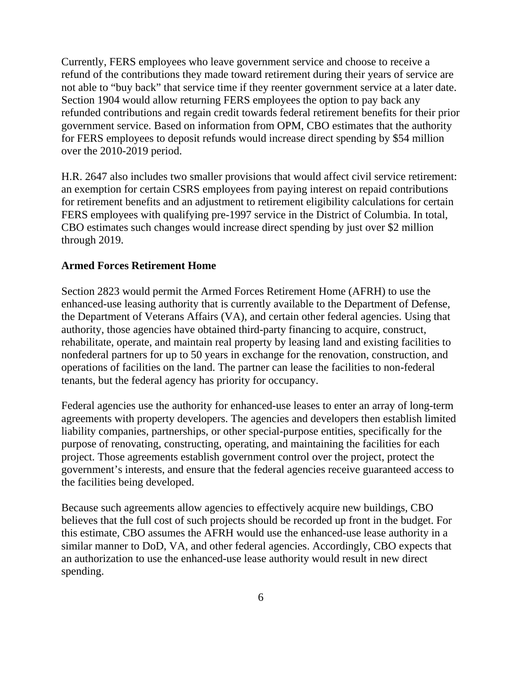Currently, FERS employees who leave government service and choose to receive a refund of the contributions they made toward retirement during their years of service are not able to "buy back" that service time if they reenter government service at a later date. Section 1904 would allow returning FERS employees the option to pay back any refunded contributions and regain credit towards federal retirement benefits for their prior government service. Based on information from OPM, CBO estimates that the authority for FERS employees to deposit refunds would increase direct spending by \$54 million over the 2010-2019 period.

H.R. 2647 also includes two smaller provisions that would affect civil service retirement: an exemption for certain CSRS employees from paying interest on repaid contributions for retirement benefits and an adjustment to retirement eligibility calculations for certain FERS employees with qualifying pre-1997 service in the District of Columbia. In total, CBO estimates such changes would increase direct spending by just over \$2 million through 2019.

### **Armed Forces Retirement Home**

Section 2823 would permit the Armed Forces Retirement Home (AFRH) to use the enhanced-use leasing authority that is currently available to the Department of Defense, the Department of Veterans Affairs (VA), and certain other federal agencies. Using that authority, those agencies have obtained third-party financing to acquire, construct, rehabilitate, operate, and maintain real property by leasing land and existing facilities to nonfederal partners for up to 50 years in exchange for the renovation, construction, and operations of facilities on the land. The partner can lease the facilities to non-federal tenants, but the federal agency has priority for occupancy.

Federal agencies use the authority for enhanced-use leases to enter an array of long-term agreements with property developers. The agencies and developers then establish limited liability companies, partnerships, or other special-purpose entities, specifically for the purpose of renovating, constructing, operating, and maintaining the facilities for each project. Those agreements establish government control over the project, protect the government's interests, and ensure that the federal agencies receive guaranteed access to the facilities being developed.

Because such agreements allow agencies to effectively acquire new buildings, CBO believes that the full cost of such projects should be recorded up front in the budget. For this estimate, CBO assumes the AFRH would use the enhanced-use lease authority in a similar manner to DoD, VA, and other federal agencies. Accordingly, CBO expects that an authorization to use the enhanced-use lease authority would result in new direct spending.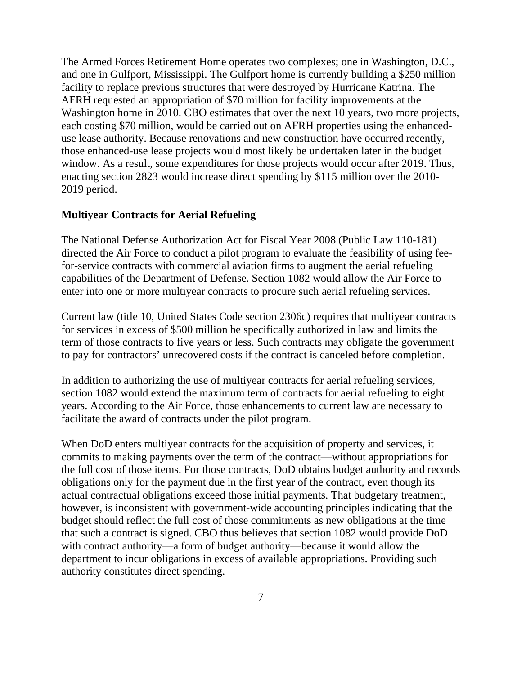The Armed Forces Retirement Home operates two complexes; one in Washington, D.C., and one in Gulfport, Mississippi. The Gulfport home is currently building a \$250 million facility to replace previous structures that were destroyed by Hurricane Katrina. The AFRH requested an appropriation of \$70 million for facility improvements at the Washington home in 2010. CBO estimates that over the next 10 years, two more projects, each costing \$70 million, would be carried out on AFRH properties using the enhanceduse lease authority. Because renovations and new construction have occurred recently, those enhanced-use lease projects would most likely be undertaken later in the budget window. As a result, some expenditures for those projects would occur after 2019. Thus, enacting section 2823 would increase direct spending by \$115 million over the 2010- 2019 period.

#### **Multiyear Contracts for Aerial Refueling**

The National Defense Authorization Act for Fiscal Year 2008 (Public Law 110-181) directed the Air Force to conduct a pilot program to evaluate the feasibility of using feefor-service contracts with commercial aviation firms to augment the aerial refueling capabilities of the Department of Defense. Section 1082 would allow the Air Force to enter into one or more multiyear contracts to procure such aerial refueling services.

Current law (title 10, United States Code section 2306c) requires that multiyear contracts for services in excess of \$500 million be specifically authorized in law and limits the term of those contracts to five years or less. Such contracts may obligate the government to pay for contractors' unrecovered costs if the contract is canceled before completion.

In addition to authorizing the use of multiyear contracts for aerial refueling services, section 1082 would extend the maximum term of contracts for aerial refueling to eight years. According to the Air Force, those enhancements to current law are necessary to facilitate the award of contracts under the pilot program.

When DoD enters multiyear contracts for the acquisition of property and services, it commits to making payments over the term of the contract—without appropriations for the full cost of those items. For those contracts, DoD obtains budget authority and records obligations only for the payment due in the first year of the contract, even though its actual contractual obligations exceed those initial payments. That budgetary treatment, however, is inconsistent with government-wide accounting principles indicating that the budget should reflect the full cost of those commitments as new obligations at the time that such a contract is signed. CBO thus believes that section 1082 would provide DoD with contract authority—a form of budget authority—because it would allow the department to incur obligations in excess of available appropriations. Providing such authority constitutes direct spending.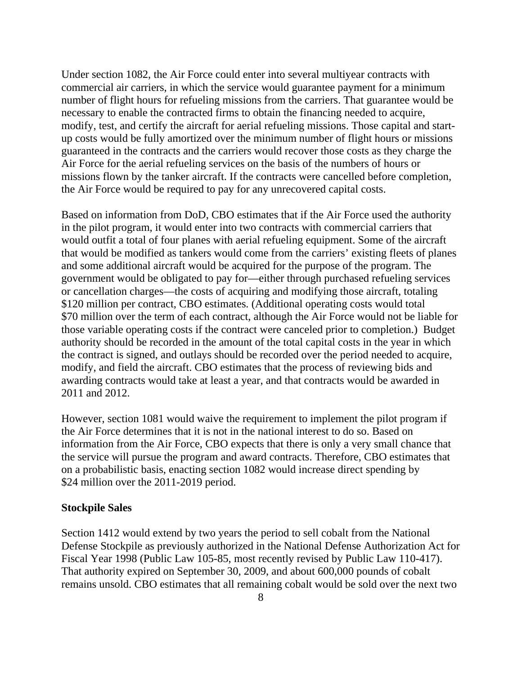Under section 1082, the Air Force could enter into several multiyear contracts with commercial air carriers, in which the service would guarantee payment for a minimum number of flight hours for refueling missions from the carriers. That guarantee would be necessary to enable the contracted firms to obtain the financing needed to acquire, modify, test, and certify the aircraft for aerial refueling missions. Those capital and startup costs would be fully amortized over the minimum number of flight hours or missions guaranteed in the contracts and the carriers would recover those costs as they charge the Air Force for the aerial refueling services on the basis of the numbers of hours or missions flown by the tanker aircraft. If the contracts were cancelled before completion, the Air Force would be required to pay for any unrecovered capital costs.

Based on information from DoD, CBO estimates that if the Air Force used the authority in the pilot program, it would enter into two contracts with commercial carriers that would outfit a total of four planes with aerial refueling equipment. Some of the aircraft that would be modified as tankers would come from the carriers' existing fleets of planes and some additional aircraft would be acquired for the purpose of the program. The government would be obligated to pay for—either through purchased refueling services or cancellation charges—the costs of acquiring and modifying those aircraft, totaling \$120 million per contract, CBO estimates. (Additional operating costs would total \$70 million over the term of each contract, although the Air Force would not be liable for those variable operating costs if the contract were canceled prior to completion.) Budget authority should be recorded in the amount of the total capital costs in the year in which the contract is signed, and outlays should be recorded over the period needed to acquire, modify, and field the aircraft. CBO estimates that the process of reviewing bids and awarding contracts would take at least a year, and that contracts would be awarded in 2011 and 2012.

However, section 1081 would waive the requirement to implement the pilot program if the Air Force determines that it is not in the national interest to do so. Based on information from the Air Force, CBO expects that there is only a very small chance that the service will pursue the program and award contracts. Therefore, CBO estimates that on a probabilistic basis, enacting section 1082 would increase direct spending by \$24 million over the 2011-2019 period.

#### **Stockpile Sales**

Section 1412 would extend by two years the period to sell cobalt from the National Defense Stockpile as previously authorized in the National Defense Authorization Act for Fiscal Year 1998 (Public Law 105-85, most recently revised by Public Law 110-417). That authority expired on September 30, 2009, and about 600,000 pounds of cobalt remains unsold. CBO estimates that all remaining cobalt would be sold over the next two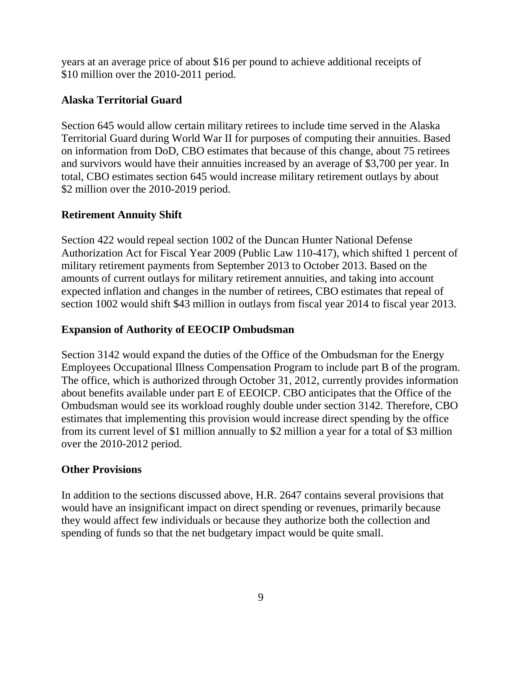years at an average price of about \$16 per pound to achieve additional receipts of \$10 million over the 2010-2011 period.

# **Alaska Territorial Guard**

Section 645 would allow certain military retirees to include time served in the Alaska Territorial Guard during World War II for purposes of computing their annuities. Based on information from DoD, CBO estimates that because of this change, about 75 retirees and survivors would have their annuities increased by an average of \$3,700 per year. In total, CBO estimates section 645 would increase military retirement outlays by about \$2 million over the 2010-2019 period.

# **Retirement Annuity Shift**

Section 422 would repeal section 1002 of the Duncan Hunter National Defense Authorization Act for Fiscal Year 2009 (Public Law 110-417), which shifted 1 percent of military retirement payments from September 2013 to October 2013. Based on the amounts of current outlays for military retirement annuities, and taking into account expected inflation and changes in the number of retirees, CBO estimates that repeal of section 1002 would shift \$43 million in outlays from fiscal year 2014 to fiscal year 2013.

# **Expansion of Authority of EEOCIP Ombudsman**

Section 3142 would expand the duties of the Office of the Ombudsman for the Energy Employees Occupational Illness Compensation Program to include part B of the program. The office, which is authorized through October 31, 2012, currently provides information about benefits available under part E of EEOICP. CBO anticipates that the Office of the Ombudsman would see its workload roughly double under section 3142. Therefore, CBO estimates that implementing this provision would increase direct spending by the office from its current level of \$1 million annually to \$2 million a year for a total of \$3 million over the 2010-2012 period.

## **Other Provisions**

In addition to the sections discussed above, H.R. 2647 contains several provisions that would have an insignificant impact on direct spending or revenues, primarily because they would affect few individuals or because they authorize both the collection and spending of funds so that the net budgetary impact would be quite small.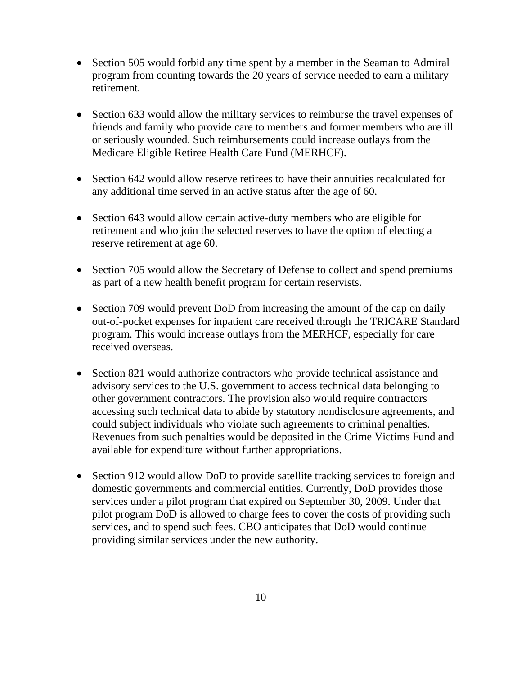- Section 505 would forbid any time spent by a member in the Seaman to Admiral program from counting towards the 20 years of service needed to earn a military retirement.
- Section 633 would allow the military services to reimburse the travel expenses of friends and family who provide care to members and former members who are ill or seriously wounded. Such reimbursements could increase outlays from the Medicare Eligible Retiree Health Care Fund (MERHCF).
- Section 642 would allow reserve retirees to have their annuities recalculated for any additional time served in an active status after the age of 60.
- Section 643 would allow certain active-duty members who are eligible for retirement and who join the selected reserves to have the option of electing a reserve retirement at age 60.
- Section 705 would allow the Secretary of Defense to collect and spend premiums as part of a new health benefit program for certain reservists.
- Section 709 would prevent DoD from increasing the amount of the cap on daily out-of-pocket expenses for inpatient care received through the TRICARE Standard program. This would increase outlays from the MERHCF, especially for care received overseas.
- Section 821 would authorize contractors who provide technical assistance and advisory services to the U.S. government to access technical data belonging to other government contractors. The provision also would require contractors accessing such technical data to abide by statutory nondisclosure agreements, and could subject individuals who violate such agreements to criminal penalties. Revenues from such penalties would be deposited in the Crime Victims Fund and available for expenditure without further appropriations.
- Section 912 would allow DoD to provide satellite tracking services to foreign and domestic governments and commercial entities. Currently, DoD provides those services under a pilot program that expired on September 30, 2009. Under that pilot program DoD is allowed to charge fees to cover the costs of providing such services, and to spend such fees. CBO anticipates that DoD would continue providing similar services under the new authority.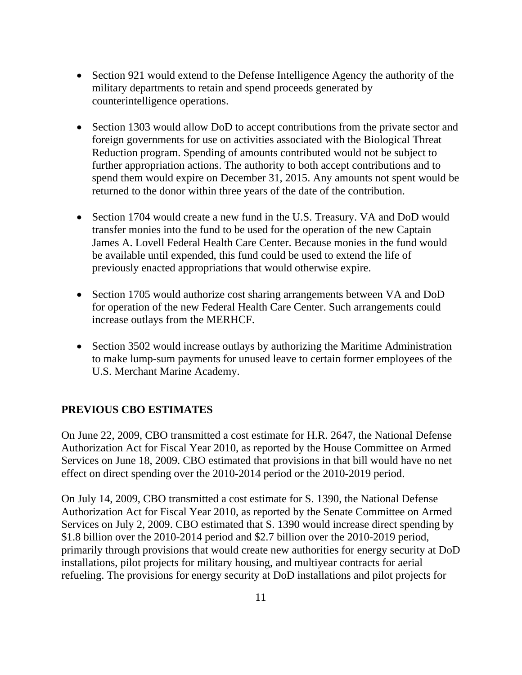- Section 921 would extend to the Defense Intelligence Agency the authority of the military departments to retain and spend proceeds generated by counterintelligence operations.
- Section 1303 would allow DoD to accept contributions from the private sector and foreign governments for use on activities associated with the Biological Threat Reduction program. Spending of amounts contributed would not be subject to further appropriation actions. The authority to both accept contributions and to spend them would expire on December 31, 2015. Any amounts not spent would be returned to the donor within three years of the date of the contribution.
- Section 1704 would create a new fund in the U.S. Treasury. VA and DoD would transfer monies into the fund to be used for the operation of the new Captain James A. Lovell Federal Health Care Center. Because monies in the fund would be available until expended, this fund could be used to extend the life of previously enacted appropriations that would otherwise expire.
- Section 1705 would authorize cost sharing arrangements between VA and DoD for operation of the new Federal Health Care Center. Such arrangements could increase outlays from the MERHCF.
- Section 3502 would increase outlays by authorizing the Maritime Administration to make lump-sum payments for unused leave to certain former employees of the U.S. Merchant Marine Academy.

# **PREVIOUS CBO ESTIMATES**

On June 22, 2009, CBO transmitted a cost estimate for H.R. 2647, the National Defense Authorization Act for Fiscal Year 2010, as reported by the House Committee on Armed Services on June 18, 2009. CBO estimated that provisions in that bill would have no net effect on direct spending over the 2010-2014 period or the 2010-2019 period.

On July 14, 2009, CBO transmitted a cost estimate for S. 1390, the National Defense Authorization Act for Fiscal Year 2010, as reported by the Senate Committee on Armed Services on July 2, 2009. CBO estimated that S. 1390 would increase direct spending by \$1.8 billion over the 2010-2014 period and \$2.7 billion over the 2010-2019 period, primarily through provisions that would create new authorities for energy security at DoD installations, pilot projects for military housing, and multiyear contracts for aerial refueling. The provisions for energy security at DoD installations and pilot projects for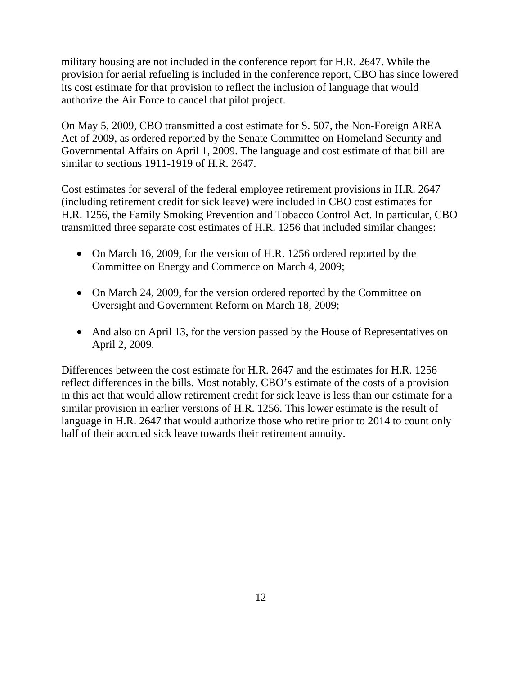military housing are not included in the conference report for H.R. 2647. While the provision for aerial refueling is included in the conference report, CBO has since lowered its cost estimate for that provision to reflect the inclusion of language that would authorize the Air Force to cancel that pilot project.

On May 5, 2009, CBO transmitted a cost estimate for S. 507, the Non-Foreign AREA Act of 2009, as ordered reported by the Senate Committee on Homeland Security and Governmental Affairs on April 1, 2009. The language and cost estimate of that bill are similar to sections 1911-1919 of H.R. 2647.

Cost estimates for several of the federal employee retirement provisions in H.R. 2647 (including retirement credit for sick leave) were included in CBO cost estimates for H.R. 1256, the Family Smoking Prevention and Tobacco Control Act. In particular, CBO transmitted three separate cost estimates of H.R. 1256 that included similar changes:

- On March 16, 2009, for the version of H.R. 1256 ordered reported by the Committee on Energy and Commerce on March 4, 2009;
- On March 24, 2009, for the version ordered reported by the Committee on Oversight and Government Reform on March 18, 2009;
- And also on April 13, for the version passed by the House of Representatives on April 2, 2009.

Differences between the cost estimate for H.R. 2647 and the estimates for H.R. 1256 reflect differences in the bills. Most notably, CBO's estimate of the costs of a provision in this act that would allow retirement credit for sick leave is less than our estimate for a similar provision in earlier versions of H.R. 1256. This lower estimate is the result of language in H.R. 2647 that would authorize those who retire prior to 2014 to count only half of their accrued sick leave towards their retirement annuity.